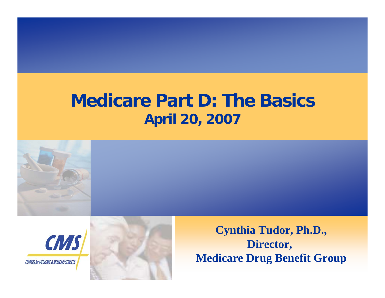## **Medicare Part D: The BasicsApril 20, 2007**





**Cynthia Tudor, Ph.D., Director, Medicare Drug Benefit Group**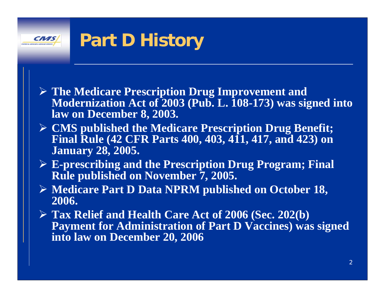#### **Part D History CMS**

- ¾ **The Medicare Prescription Drug Improvement and Modernization Act of 2003 (Pub. L. 108-173) was signed into law on December 8, 2003.**
- ¾ **CMS published the Medicare Prescription Drug Benefit; Final Rule (42 CFR Parts 400, 403, 411, 417, and 423) on January 28, 2005.**
- ¾ **E-prescribing and the Prescription Drug Program; Final Rule published on November 7, 2005.**
- ¾ **Medicare Part D Data NPRM published on October 18, 2006.**
- ¾ **Tax Relief and Health Care Act of 2006 (Sec. 202(b) Payment for Administration of Part D Vaccines) was signed into law on December 20, 2006**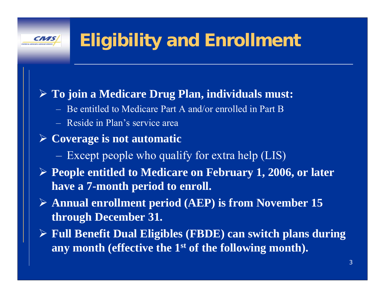# **Eligibility and Enrollment**

### ¾ **To join a Medicare Drug Plan, individuals must:**

- Be entitled to Medicare Part A and/or enrolled in Part B
- Reside in Plan's service area
- ¾ **Coverage is not automatic**
	- Except people who qualify for extra help (LIS)
- ¾ **People entitled to Medicare on February 1, 2006, or later have a 7-month period to enroll.**
- ¾ **Annual enrollment period (AEP) is from November 15 through December 31.**
- ¾ **Full Benefit Dual Eligibles (FBDE) can switch plans during any month (effective the 1st of the following month).**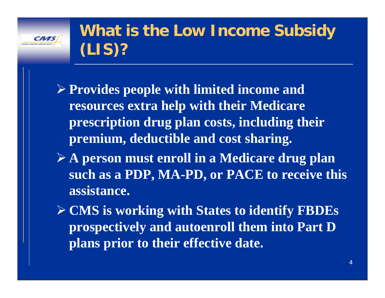

## **What is the Low Income Subsidy (LIS)?**

- ¾ **Provides people with limited income and resources extra help with their Medicare prescription drug plan costs, including their premium, deductible and cost sharing.**
- ¾ **A person must enroll in a Medicare drug plan such as a PDP, MA-PD, or PACE to receive this assistance.**

¾ **CMS is working with States to identify FBDEs prospectively and autoenroll them into Part D plans prior to their effective date.**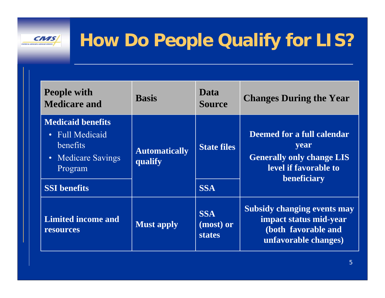**CNAS** 

CRITIS IN MEDICAL AMERICAN ST

| <b>People with</b><br><b>Medicare and</b>                                                | <b>Basis</b>                    | Data<br><b>Source</b>                    | <b>Changes During the Year</b>                                                                                 |
|------------------------------------------------------------------------------------------|---------------------------------|------------------------------------------|----------------------------------------------------------------------------------------------------------------|
| <b>Medicaid benefits</b><br>• Full Medicaid<br>benefits<br>• Medicare Savings<br>Program | <b>Automatically</b><br>qualify | <b>State files</b>                       | Deemed for a full calendar<br>year<br><b>Generally only change LIS</b><br>level if favorable to<br>beneficiary |
| <b>SSI</b> benefits                                                                      |                                 | <b>SSA</b>                               |                                                                                                                |
| <b>Limited income and</b><br>resources                                                   | <b>Must apply</b>               | <b>SSA</b><br>(most) or<br><b>states</b> | <b>Subsidy changing events may</b><br>impact status mid-year<br>(both favorable and<br>unfavorable changes)    |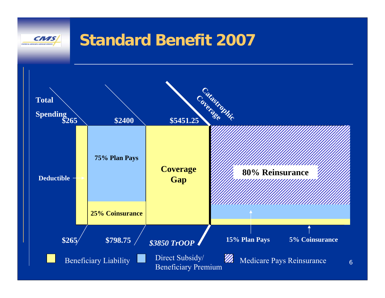#### **Standard Benefit 2007** CN S

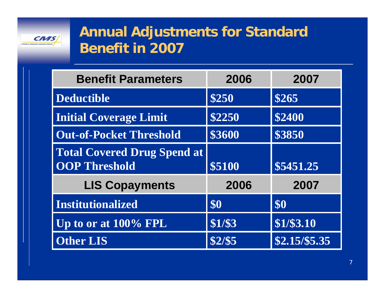

### **Annual Adjustments for Standard Benefit in 2007**

| <b>Benefit Parameters</b>                                  | 2006    | 2007           |
|------------------------------------------------------------|---------|----------------|
| <b>Deductible</b>                                          | \$250   | \$265          |
| <b>Initial Coverage Limit</b>                              | \$2250  | \$2400         |
| <b>Out-of-Pocket Threshold</b>                             | \$3600  | \$3850         |
| <b>Total Covered Drug Spend at</b><br><b>OOP Threshold</b> | \$5100  | \$5451.25      |
| <b>LIS Copayments</b>                                      | 2006    | 2007           |
| <b>Institutionalized</b>                                   | \$0     | \$0            |
| Up to or at 100% FPL                                       | \$1/\$3 | \$1/\$3.10     |
| <b>Other LIS</b>                                           | \$2/\$5 | $$2.15/\$5.35$ |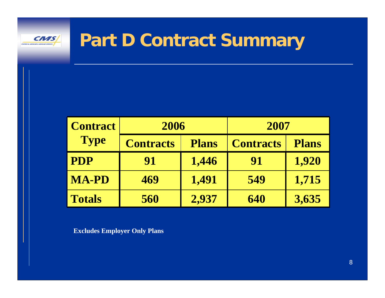

## **Part D Contract Summary**

| <b>Contract</b> | 2006             |              | 2007             |              |
|-----------------|------------------|--------------|------------------|--------------|
| <b>Type</b>     | <b>Contracts</b> | <b>Plans</b> | <b>Contracts</b> | <b>Plans</b> |
| <b>PDP</b>      | 91               | 1,446        | 91               | 1,920        |
| <b>MA-PD</b>    | 469              | 1,491        | 549              | 1,715        |
| <b>Totals</b>   | 560              | 2,937        | 640              | 3,635        |

**Excludes Employer Only Plans**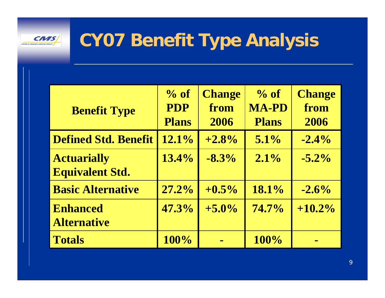

# **CY07 Benefit Type Analysis**

| <b>Benefit Type</b>                          | $\%$ of<br><b>PDP</b><br><b>Plans</b> | <b>Change</b><br>from<br>2006 | $\%$ of<br><b>MA-PD</b><br><b>Plans</b> | <b>Change</b><br>from<br>2006 |
|----------------------------------------------|---------------------------------------|-------------------------------|-----------------------------------------|-------------------------------|
| <b>Defined Std. Benefit</b>                  | 12.1%                                 | $+2.8%$                       | $5.1\%$                                 | $-2.4\%$                      |
| <b>Actuarially</b><br><b>Equivalent Std.</b> | $13.4\%$                              | $-8.3\%$                      | $2.1\%$                                 | $-5.2\%$                      |
| <b>Basic Alternative</b>                     | 27.2%                                 | $+0.5\%$                      | 18.1%                                   | $-2.6\%$                      |
| <b>Enhanced</b><br><b>Alternative</b>        | 47.3%                                 | $+5.0%$                       | $74.7\%$                                | $+10.2\%$                     |
| <b>Totals</b>                                | 100%                                  |                               | 100%                                    |                               |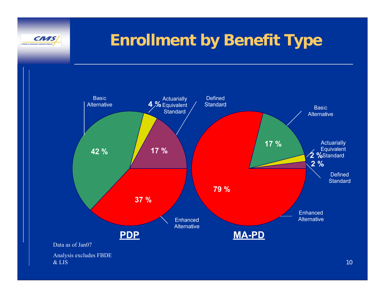

## **Enrollment by Benefit Type**

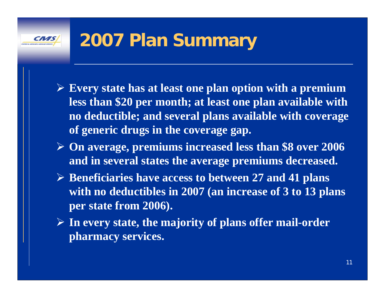

- ¾ **Every state has at least one plan option with a premium less than \$20 per month; at least one plan available with no deductible; and several plans available with coverage of generic drugs in the coverage gap.**
- ¾ **On average, premiums increased less than \$8 over 2006 and in several states the average premiums decreased.**
- ¾ **Beneficiaries have access to between 27 and 41 plans with no deductibles in 2007 (an increase of 3 to 13 plans per state from 2006).**
- ¾ **In every state, the majority of plans offer mail-order pharmacy services.**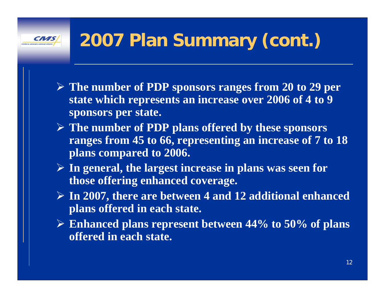# **2007 Plan Summary (cont.)**

- ¾ **The number of PDP sponsors ranges from 20 to 29 per state which represents an increase over 2006 of 4 to 9 sponsors per state.**
- ¾ **The number of PDP plans offered by these sponsors ranges from 45 to 66, representing an increase of 7 to 18 plans compared to 2006.**
- ¾ **In general, the largest increase in plans was seen for those offering enhanced coverage.**
- ¾ **In 2007, there are between 4 and 12 additional enhanced plans offered in each state.**
- ¾ **Enhanced plans represent between 44% to 50% of plans offered in each state.**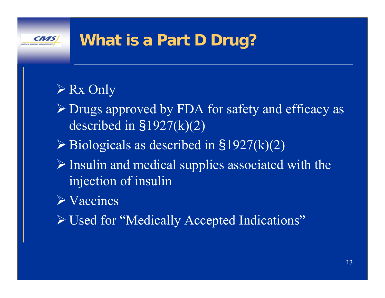## **What is a Part D Drug?**

## ¾ Rx Only

- ¾ Drugs approved by FDA for safety and efficacy as described in §1927(k)(2)
- $\triangleright$  Biologicals as described in §1927(k)(2)
- $\triangleright$  Insulin and medical supplies associated with the injection of insulin
- $\triangleright$  Vaccines
- ¾ Used for "Medically Accepted Indications"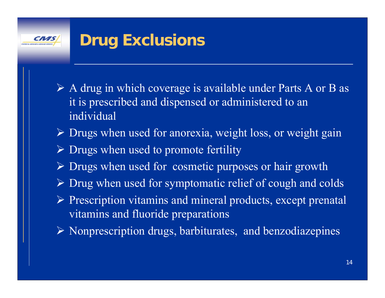## **Drug Exclusions**

- $\triangleright$  A drug in which coverage is available under Parts A or B as it is prescribed and dispensed or administered to an individual
- ¾ Drugs when used for anorexia, weight loss, or weight gain
- ¾ Drugs when used to promote fertility
- ¾ Drugs when used for cosmetic purposes or hair growth
- ¾ Drug when used for symptomatic relief of cough and colds
- ¾ Prescription vitamins and mineral products, except prenatal vitamins and fluoride preparations
- ¾ Nonprescription drugs, barbiturates, and benzodiazepines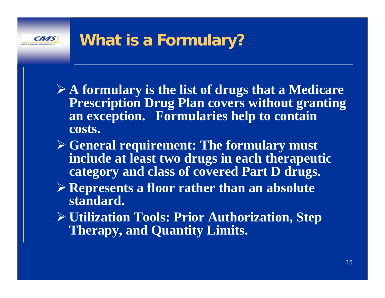## **What is a Formulary?**

- ¾ **A formulary is the list of drugs that a Medicare Prescription Drug Plan covers without granting an exception. Formularies help to contain costs.**
- ¾ **General requirement: The formulary must include at least two drugs in each therapeutic category and class of covered Part D drugs.**
- ¾ **Represents a floor rather than an absolute standard.**
- ¾ **Utilization Tools: Prior Authorization, Step Therapy, and Quantity Limits.**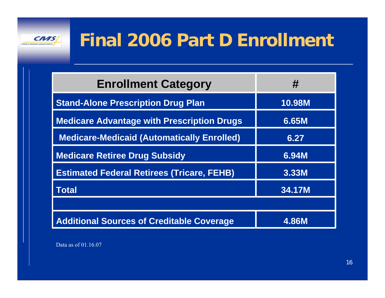

| <b>Enrollment Category</b>                        | #             |
|---------------------------------------------------|---------------|
| <b>Stand-Alone Prescription Drug Plan</b>         | <b>10.98M</b> |
| <b>Medicare Advantage with Prescription Drugs</b> | 6.65M         |
| <b>Medicare-Medicaid (Automatically Enrolled)</b> | 6.27          |
| <b>Medicare Retiree Drug Subsidy</b>              | 6.94M         |
| <b>Estimated Federal Retirees (Tricare, FEHB)</b> | 3.33M         |
| <b>Total</b>                                      | 34.17M        |
|                                                   |               |
| <b>Additional Sources of Creditable Coverage</b>  | <b>4.86M</b>  |

Data as of 01.16.07